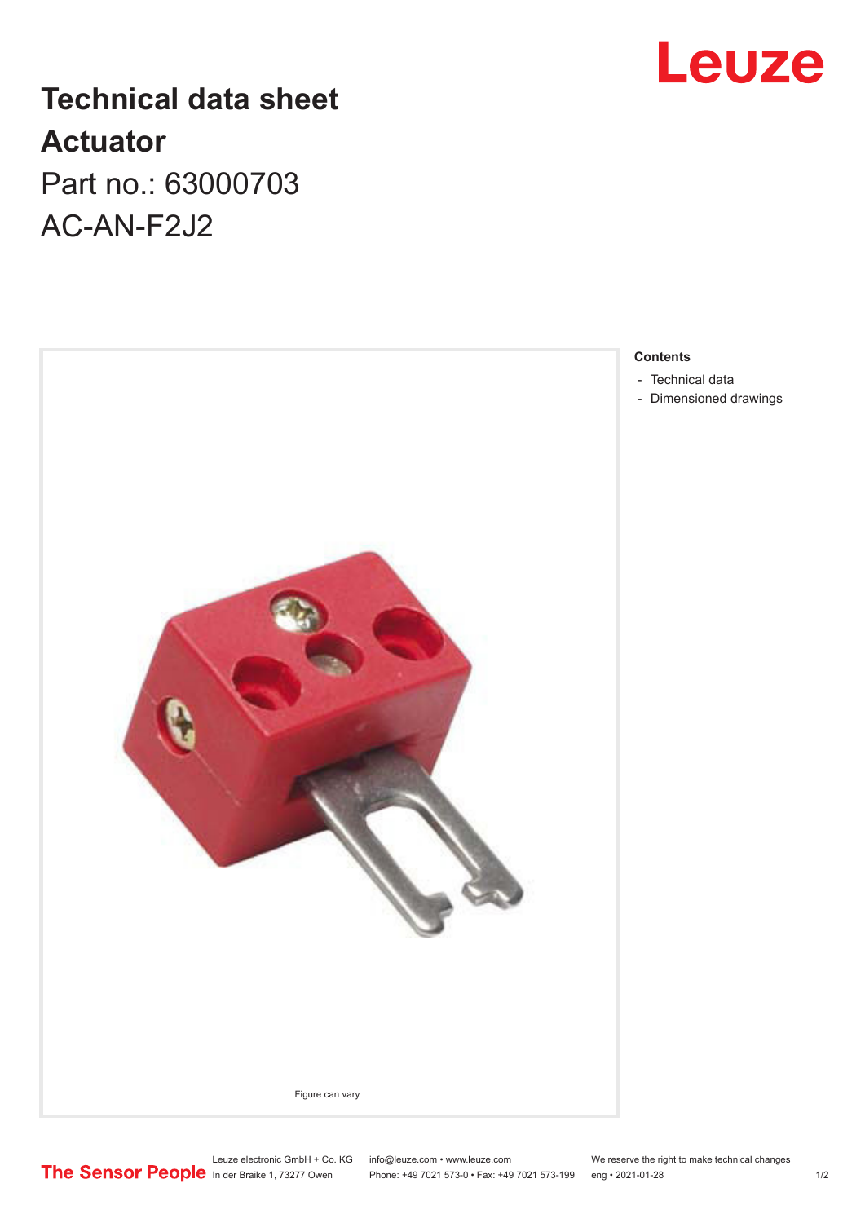## **Technical data sheet Actuator** Part no.: 63000703 AC-AN-F2J2





- [Technical data](#page-1-0)
- [Dimensioned drawings](#page-1-0)

Leuze electronic GmbH + Co. KG info@leuze.com • www.leuze.com We reserve the right to make technical changes

In der Braike 1, 73277 Owen Phone: +49 7021 573-0 • Fax: +49 7021 573-199 eng • 2021-01-28 1/2

## Leuze